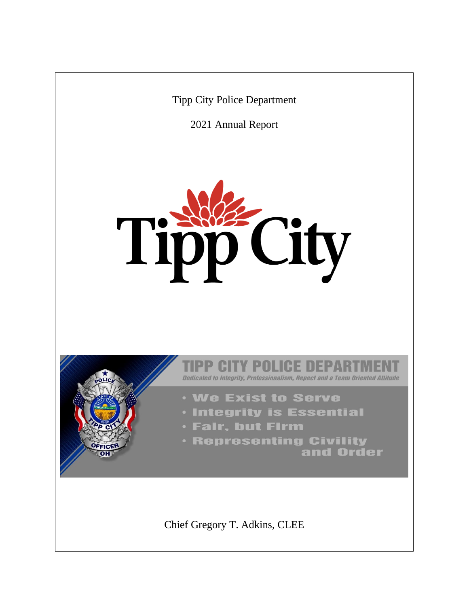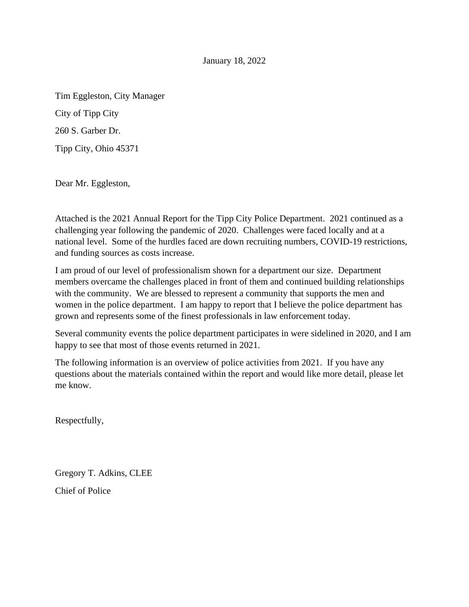January 18, 2022

Tim Eggleston, City Manager City of Tipp City 260 S. Garber Dr. Tipp City, Ohio 45371

Dear Mr. Eggleston,

Attached is the 2021 Annual Report for the Tipp City Police Department. 2021 continued as a challenging year following the pandemic of 2020. Challenges were faced locally and at a national level. Some of the hurdles faced are down recruiting numbers, COVID-19 restrictions, and funding sources as costs increase.

I am proud of our level of professionalism shown for a department our size. Department members overcame the challenges placed in front of them and continued building relationships with the community. We are blessed to represent a community that supports the men and women in the police department. I am happy to report that I believe the police department has grown and represents some of the finest professionals in law enforcement today.

Several community events the police department participates in were sidelined in 2020, and I am happy to see that most of those events returned in 2021.

The following information is an overview of police activities from 2021. If you have any questions about the materials contained within the report and would like more detail, please let me know.

Respectfully,

Gregory T. Adkins, CLEE Chief of Police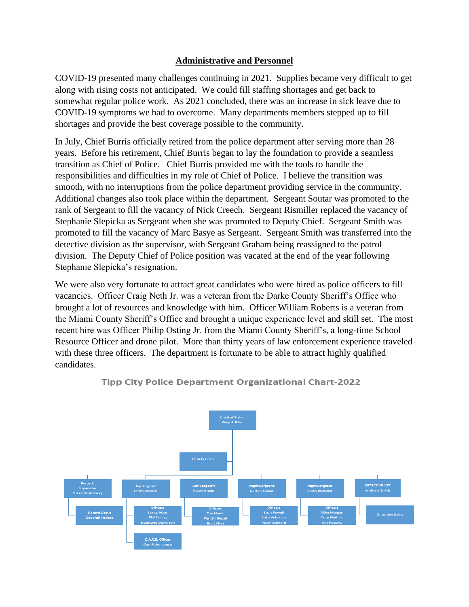## **Administrative and Personnel**

COVID-19 presented many challenges continuing in 2021. Supplies became very difficult to get along with rising costs not anticipated. We could fill staffing shortages and get back to somewhat regular police work. As 2021 concluded, there was an increase in sick leave due to COVID-19 symptoms we had to overcome. Many departments members stepped up to fill shortages and provide the best coverage possible to the community.

In July, Chief Burris officially retired from the police department after serving more than 28 years. Before his retirement, Chief Burris began to lay the foundation to provide a seamless transition as Chief of Police. Chief Burris provided me with the tools to handle the responsibilities and difficulties in my role of Chief of Police. I believe the transition was smooth, with no interruptions from the police department providing service in the community. Additional changes also took place within the department. Sergeant Soutar was promoted to the rank of Sergeant to fill the vacancy of Nick Creech. Sergeant Rismiller replaced the vacancy of Stephanie Slepicka as Sergeant when she was promoted to Deputy Chief. Sergeant Smith was promoted to fill the vacancy of Marc Basye as Sergeant. Sergeant Smith was transferred into the detective division as the supervisor, with Sergeant Graham being reassigned to the patrol division. The Deputy Chief of Police position was vacated at the end of the year following Stephanie Slepicka's resignation.

We were also very fortunate to attract great candidates who were hired as police officers to fill vacancies. Officer Craig Neth Jr. was a veteran from the Darke County Sheriff's Office who brought a lot of resources and knowledge with him. Officer William Roberts is a veteran from the Miami County Sheriff's Office and brought a unique experience level and skill set. The most recent hire was Officer Philip Osting Jr. from the Miami County Sheriff's, a long-time School Resource Officer and drone pilot. More than thirty years of law enforcement experience traveled with these three officers. The department is fortunate to be able to attract highly qualified candidates.



**Tipp City Police Department Organizational Chart-2022**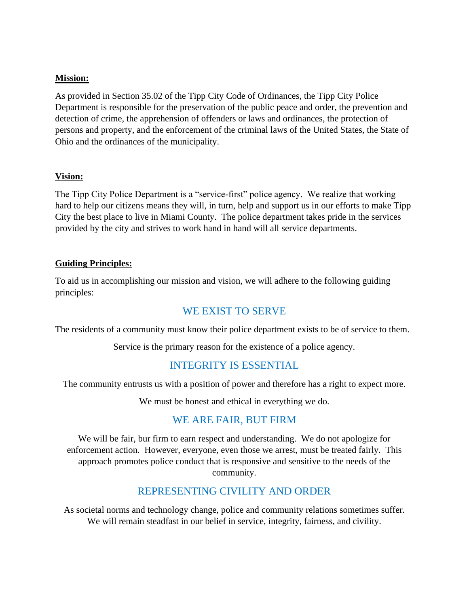#### **Mission:**

As provided in Section 35.02 of the Tipp City Code of Ordinances, the Tipp City Police Department is responsible for the preservation of the public peace and order, the prevention and detection of crime, the apprehension of offenders or laws and ordinances, the protection of persons and property, and the enforcement of the criminal laws of the United States, the State of Ohio and the ordinances of the municipality.

#### **Vision:**

The Tipp City Police Department is a "service-first" police agency. We realize that working hard to help our citizens means they will, in turn, help and support us in our efforts to make Tipp City the best place to live in Miami County. The police department takes pride in the services provided by the city and strives to work hand in hand will all service departments.

## **Guiding Principles:**

To aid us in accomplishing our mission and vision, we will adhere to the following guiding principles:

# WE EXIST TO SERVE

The residents of a community must know their police department exists to be of service to them.

Service is the primary reason for the existence of a police agency.

# INTEGRITY IS ESSENTIAL

The community entrusts us with a position of power and therefore has a right to expect more.

We must be honest and ethical in everything we do.

# WE ARE FAIR, BUT FIRM

We will be fair, bur firm to earn respect and understanding. We do not apologize for enforcement action. However, everyone, even those we arrest, must be treated fairly. This approach promotes police conduct that is responsive and sensitive to the needs of the community.

# REPRESENTING CIVILITY AND ORDER

As societal norms and technology change, police and community relations sometimes suffer. We will remain steadfast in our belief in service, integrity, fairness, and civility.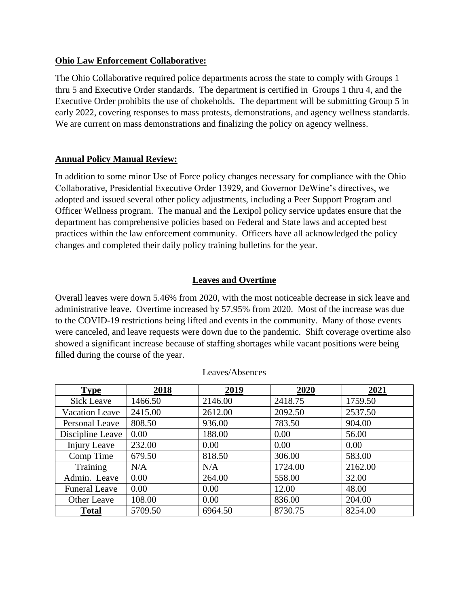#### **Ohio Law Enforcement Collaborative:**

The Ohio Collaborative required police departments across the state to comply with Groups 1 thru 5 and Executive Order standards. The department is certified in Groups 1 thru 4, and the Executive Order prohibits the use of chokeholds. The department will be submitting Group 5 in early 2022, covering responses to mass protests, demonstrations, and agency wellness standards. We are current on mass demonstrations and finalizing the policy on agency wellness.

## **Annual Policy Manual Review:**

In addition to some minor Use of Force policy changes necessary for compliance with the Ohio Collaborative, Presidential Executive Order 13929, and Governor DeWine's directives, we adopted and issued several other policy adjustments, including a Peer Support Program and Officer Wellness program. The manual and the Lexipol policy service updates ensure that the department has comprehensive policies based on Federal and State laws and accepted best practices within the law enforcement community. Officers have all acknowledged the policy changes and completed their daily policy training bulletins for the year.

# **Leaves and Overtime**

Overall leaves were down 5.46% from 2020, with the most noticeable decrease in sick leave and administrative leave. Overtime increased by 57.95% from 2020. Most of the increase was due to the COVID-19 restrictions being lifted and events in the community. Many of those events were canceled, and leave requests were down due to the pandemic. Shift coverage overtime also showed a significant increase because of staffing shortages while vacant positions were being filled during the course of the year.

| <b>Type</b>           | 2018    | 2019    | 2020    | 2021    |
|-----------------------|---------|---------|---------|---------|
| Sick Leave            | 1466.50 | 2146.00 | 2418.75 | 1759.50 |
| <b>Vacation Leave</b> | 2415.00 | 2612.00 | 2092.50 | 2537.50 |
| Personal Leave        | 808.50  | 936.00  | 783.50  | 904.00  |
| Discipline Leave      | 0.00    | 188.00  | 0.00    | 56.00   |
| Injury Leave          | 232.00  | 0.00    | 0.00    | 0.00    |
| Comp Time             | 679.50  | 818.50  | 306.00  | 583.00  |
| Training              | N/A     | N/A     | 1724.00 | 2162.00 |
| Admin. Leave          | 0.00    | 264.00  | 558.00  | 32.00   |
| <b>Funeral Leave</b>  | 0.00    | 0.00    | 12.00   | 48.00   |
| Other Leave           | 108.00  | 0.00    | 836.00  | 204.00  |
| <b>Total</b>          | 5709.50 | 6964.50 | 8730.75 | 8254.00 |

#### Leaves/Absences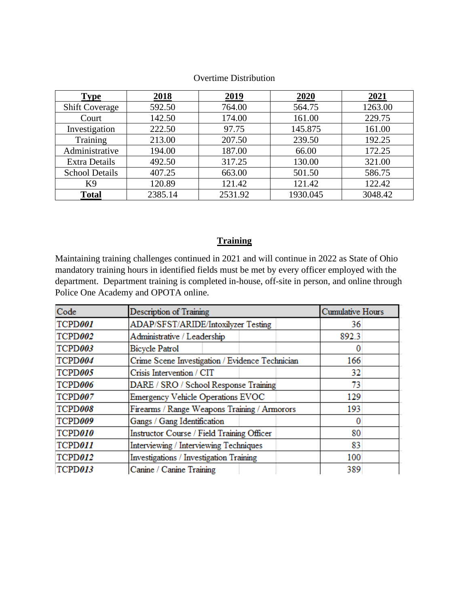| <b>Type</b>           | 2018    | 2019    | 2020     | 2021    |
|-----------------------|---------|---------|----------|---------|
| <b>Shift Coverage</b> | 592.50  | 764.00  | 564.75   | 1263.00 |
| Court                 | 142.50  | 174.00  | 161.00   | 229.75  |
| Investigation         | 222.50  | 97.75   | 145.875  | 161.00  |
| Training              | 213.00  | 207.50  | 239.50   | 192.25  |
| Administrative        | 194.00  | 187.00  | 66.00    | 172.25  |
| <b>Extra Details</b>  | 492.50  | 317.25  | 130.00   | 321.00  |
| <b>School Details</b> | 407.25  | 663.00  | 501.50   | 586.75  |
| K <sub>9</sub>        | 120.89  | 121.42  | 121.42   | 122.42  |
| <b>Total</b>          | 2385.14 | 2531.92 | 1930.045 | 3048.42 |

#### Overtime Distribution

# **Training**

Maintaining training challenges continued in 2021 and will continue in 2022 as State of Ohio mandatory training hours in identified fields must be met by every officer employed with the department. Department training is completed in-house, off-site in person, and online through Police One Academy and OPOTA online.

| Code    | Description of Training                         | Cumulative Hours |  |
|---------|-------------------------------------------------|------------------|--|
| TCPD001 | ADAP/SFST/ARIDE/Intoxilyzer Testing             | 36               |  |
| TCPD002 | Administrative / Leadership                     | 892.3            |  |
| TCPD003 | <b>Bicycle Patrol</b>                           |                  |  |
| TCPD004 | Crime Scene Investigation / Evidence Technician | 166              |  |
| TCPD005 | Crisis Intervention / CIT                       | 32               |  |
| TCPD006 | DARE / SRO / School Response Training           | 73               |  |
| TCPD007 | <b>Emergency Vehicle Operations EVOC</b>        | 129              |  |
| TCPD008 | Firearms / Range Weapons Training / Armorors    | 193              |  |
| TCPD009 | Gangs / Gang Identification                     |                  |  |
| TCPD010 | Instructor Course / Field Training Officer      | 80               |  |
| TCPD011 | Interviewing / Interviewing Techniques          | 83               |  |
| TCPD012 | Investigations / Investigation Training         | 100              |  |
| TCPD013 | Canine / Canine Training                        | 389              |  |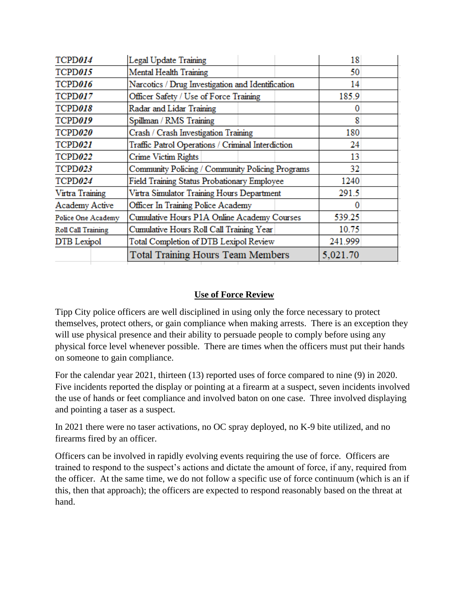| TCPD014            | Legal Update Training                             | 18       |  |
|--------------------|---------------------------------------------------|----------|--|
| TCPD015            | <b>Mental Health Training</b>                     | 50       |  |
| TCPD016            | Narcotics / Drug Investigation and Identification | 14       |  |
| TCPD017            | Officer Safety / Use of Force Training            | 185.9    |  |
| TCPD018            | Radar and Lidar Training                          | O        |  |
| TCPD019            | Spillman / RMS Training                           | 8        |  |
| TCPD020            | Crash / Crash Investigation Training              | 180      |  |
| TCPD021            | Traffic Patrol Operations / Criminal Interdiction | 24       |  |
| TCPD022            | Crime Victim Rights                               | 13       |  |
| TCPD023            | Community Policing / Community Policing Programs  | 32       |  |
| TCPD024            | Field Training Status Probationary Employee       | 1240     |  |
| Virtra Training    | Virtra Simulator Training Hours Department        | 291.5    |  |
| Academy Active     | Officer In Training Police Academy                | o        |  |
| Police One Academy | Cumulative Hours P1A Online Academy Courses       | 539.25   |  |
| Roll Call Training | Cumulative Hours Roll Call Training Year          | 10.75    |  |
| DTB Lexipol        | Total Completion of DTB Lexipol Review            | 241.999  |  |
|                    | Total Training Hours Team Members                 | 5,021.70 |  |

# **Use of Force Review**

Tipp City police officers are well disciplined in using only the force necessary to protect themselves, protect others, or gain compliance when making arrests. There is an exception they will use physical presence and their ability to persuade people to comply before using any physical force level whenever possible. There are times when the officers must put their hands on someone to gain compliance.

For the calendar year 2021, thirteen (13) reported uses of force compared to nine (9) in 2020. Five incidents reported the display or pointing at a firearm at a suspect, seven incidents involved the use of hands or feet compliance and involved baton on one case. Three involved displaying and pointing a taser as a suspect.

In 2021 there were no taser activations, no OC spray deployed, no K-9 bite utilized, and no firearms fired by an officer.

Officers can be involved in rapidly evolving events requiring the use of force. Officers are trained to respond to the suspect's actions and dictate the amount of force, if any, required from the officer. At the same time, we do not follow a specific use of force continuum (which is an if this, then that approach); the officers are expected to respond reasonably based on the threat at hand.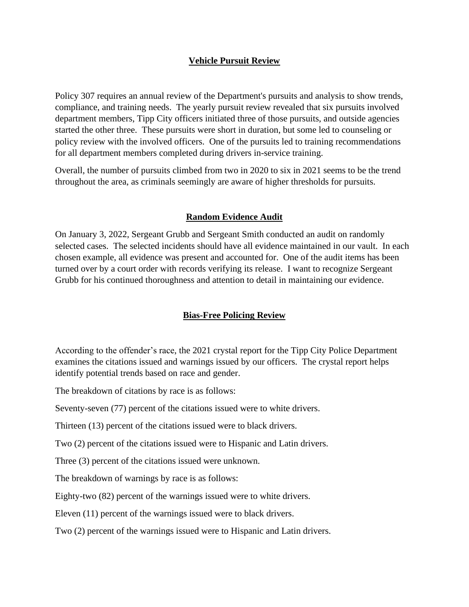## **Vehicle Pursuit Review**

Policy 307 requires an annual review of the Department's pursuits and analysis to show trends, compliance, and training needs. The yearly pursuit review revealed that six pursuits involved department members, Tipp City officers initiated three of those pursuits, and outside agencies started the other three. These pursuits were short in duration, but some led to counseling or policy review with the involved officers. One of the pursuits led to training recommendations for all department members completed during drivers in-service training.

Overall, the number of pursuits climbed from two in 2020 to six in 2021 seems to be the trend throughout the area, as criminals seemingly are aware of higher thresholds for pursuits.

#### **Random Evidence Audit**

On January 3, 2022, Sergeant Grubb and Sergeant Smith conducted an audit on randomly selected cases. The selected incidents should have all evidence maintained in our vault. In each chosen example, all evidence was present and accounted for. One of the audit items has been turned over by a court order with records verifying its release. I want to recognize Sergeant Grubb for his continued thoroughness and attention to detail in maintaining our evidence.

## **Bias-Free Policing Review**

According to the offender's race, the 2021 crystal report for the Tipp City Police Department examines the citations issued and warnings issued by our officers. The crystal report helps identify potential trends based on race and gender.

The breakdown of citations by race is as follows:

Seventy-seven (77) percent of the citations issued were to white drivers.

Thirteen (13) percent of the citations issued were to black drivers.

Two (2) percent of the citations issued were to Hispanic and Latin drivers.

Three (3) percent of the citations issued were unknown.

The breakdown of warnings by race is as follows:

Eighty-two (82) percent of the warnings issued were to white drivers.

Eleven (11) percent of the warnings issued were to black drivers.

Two (2) percent of the warnings issued were to Hispanic and Latin drivers.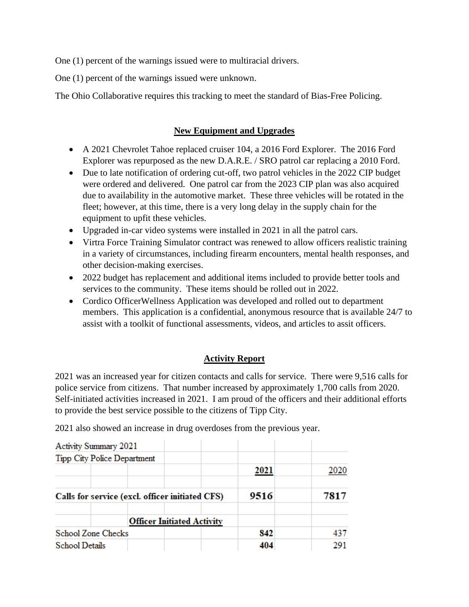One (1) percent of the warnings issued were to multiracial drivers.

One (1) percent of the warnings issued were unknown.

The Ohio Collaborative requires this tracking to meet the standard of Bias-Free Policing.

## **New Equipment and Upgrades**

- A 2021 Chevrolet Tahoe replaced cruiser 104, a 2016 Ford Explorer. The 2016 Ford Explorer was repurposed as the new D.A.R.E. / SRO patrol car replacing a 2010 Ford.
- Due to late notification of ordering cut-off, two patrol vehicles in the 2022 CIP budget were ordered and delivered. One patrol car from the 2023 CIP plan was also acquired due to availability in the automotive market. These three vehicles will be rotated in the fleet; however, at this time, there is a very long delay in the supply chain for the equipment to upfit these vehicles.
- Upgraded in-car video systems were installed in 2021 in all the patrol cars.
- Virtra Force Training Simulator contract was renewed to allow officers realistic training in a variety of circumstances, including firearm encounters, mental health responses, and other decision-making exercises.
- 2022 budget has replacement and additional items included to provide better tools and services to the community. These items should be rolled out in 2022.
- Cordico OfficerWellness Application was developed and rolled out to department members. This application is a confidential, anonymous resource that is available 24/7 to assist with a toolkit of functional assessments, videos, and articles to assit officers.

# **Activity Report**

2021 was an increased year for citizen contacts and calls for service. There were 9,516 calls for police service from citizens. That number increased by approximately 1,700 calls from 2020. Self-initiated activities increased in 2021. I am proud of the officers and their additional efforts to provide the best service possible to the citizens of Tipp City.

2021 also showed an increase in drug overdoses from the previous year.

| Activity Summary 2021              |                                                 |      |      |
|------------------------------------|-------------------------------------------------|------|------|
| <b>Tipp City Police Department</b> |                                                 |      |      |
|                                    |                                                 | 2021 | 2020 |
|                                    | Calls for service (excl. officer initiated CFS) | 9516 | 7817 |
|                                    | <b>Officer Initiated Activity</b>               |      |      |
| <b>School Zone Checks</b>          |                                                 | 842  | 437  |
| <b>School Details</b>              |                                                 | 404  | 291  |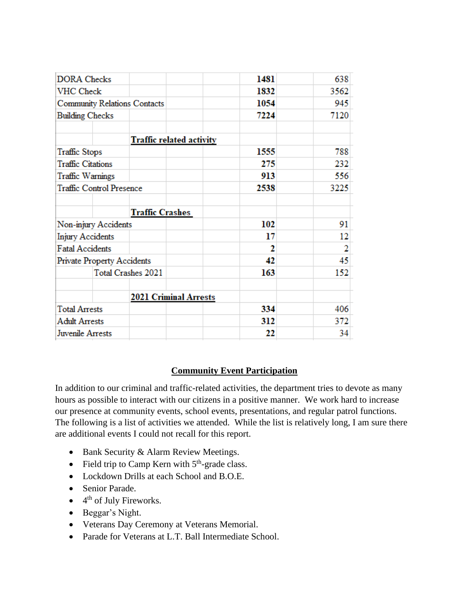| <b>DORA</b> Checks       |                                     |                                 | 1481 | 638  |
|--------------------------|-------------------------------------|---------------------------------|------|------|
| <b>VHC</b> Check         |                                     |                                 | 1832 | 3562 |
|                          | <b>Community Relations Contacts</b> |                                 | 1054 | 945  |
| <b>Building Checks</b>   |                                     |                                 | 7224 | 7120 |
|                          |                                     | <b>Traffic related activity</b> |      |      |
| <b>Traffic Stops</b>     |                                     |                                 | 1555 | 788  |
| <b>Traffic Citations</b> |                                     |                                 | 275  | 232  |
| Traffic Warnings         |                                     |                                 | 913  | 556  |
|                          | <b>Traffic Control Presence</b>     |                                 | 2538 | 3225 |
|                          |                                     |                                 |      |      |
|                          |                                     |                                 |      |      |
|                          |                                     | <b>Traffic Crashes</b>          |      |      |
| Non-injury Accidents     |                                     |                                 | 102  | 91   |
| <b>Injury Accidents</b>  |                                     |                                 | 17   | 12   |
| <b>Fatal Accidents</b>   |                                     |                                 | 2    | 2    |
|                          | <b>Private Property Accidents</b>   |                                 | 42   | 45   |
|                          | <b>Total Crashes 2021</b>           |                                 | 163  | 152  |
|                          |                                     | <b>2021 Criminal Arrests</b>    |      |      |
| <b>Total Arrests</b>     |                                     |                                 | 334  | 406  |
| <b>Adult Arrests</b>     |                                     |                                 | 312  | 372  |

## **Community Event Participation**

In addition to our criminal and traffic-related activities, the department tries to devote as many hours as possible to interact with our citizens in a positive manner. We work hard to increase our presence at community events, school events, presentations, and regular patrol functions. The following is a list of activities we attended. While the list is relatively long, I am sure there are additional events I could not recall for this report.

- Bank Security & Alarm Review Meetings.
- Field trip to Camp Kern with  $5<sup>th</sup>$ -grade class.
- Lockdown Drills at each School and B.O.E.
- Senior Parade.
- $\bullet$  4<sup>th</sup> of July Fireworks.
- Beggar's Night.
- Veterans Day Ceremony at Veterans Memorial.
- Parade for Veterans at L.T. Ball Intermediate School.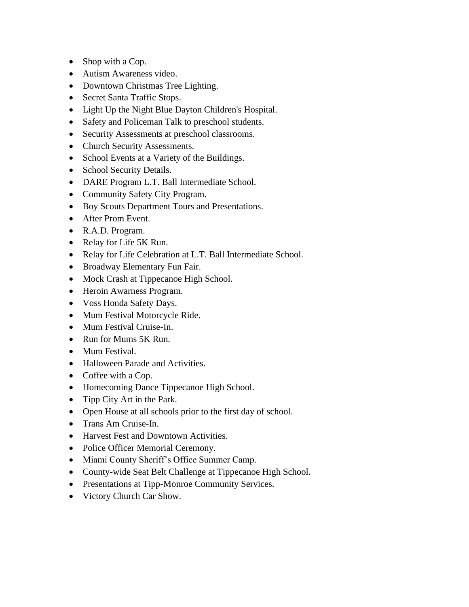- Shop with a Cop.
- Autism Awareness video.
- Downtown Christmas Tree Lighting.
- Secret Santa Traffic Stops.
- Light Up the Night Blue Dayton Children's Hospital.
- Safety and Policeman Talk to preschool students.
- Security Assessments at preschool classrooms.
- Church Security Assessments.
- School Events at a Variety of the Buildings.
- School Security Details.
- DARE Program L.T. Ball Intermediate School.
- Community Safety City Program.
- Boy Scouts Department Tours and Presentations.
- After Prom Event.
- R.A.D. Program.
- Relay for Life 5K Run.
- Relay for Life Celebration at L.T. Ball Intermediate School.
- Broadway Elementary Fun Fair.
- Mock Crash at Tippecanoe High School.
- Heroin Awarness Program.
- Voss Honda Safety Days.
- Mum Festival Motorcycle Ride.
- Mum Festival Cruise-In.
- Run for Mums 5K Run.
- Mum Festival.
- Halloween Parade and Activities.
- Coffee with a Cop.
- Homecoming Dance Tippecanoe High School.
- Tipp City Art in the Park.
- Open House at all schools prior to the first day of school.
- Trans Am Cruise-In.
- Harvest Fest and Downtown Activities.
- Police Officer Memorial Ceremony.
- Miami County Sheriff's Office Summer Camp.
- County-wide Seat Belt Challenge at Tippecanoe High School.
- Presentations at Tipp-Monroe Community Services.
- Victory Church Car Show.